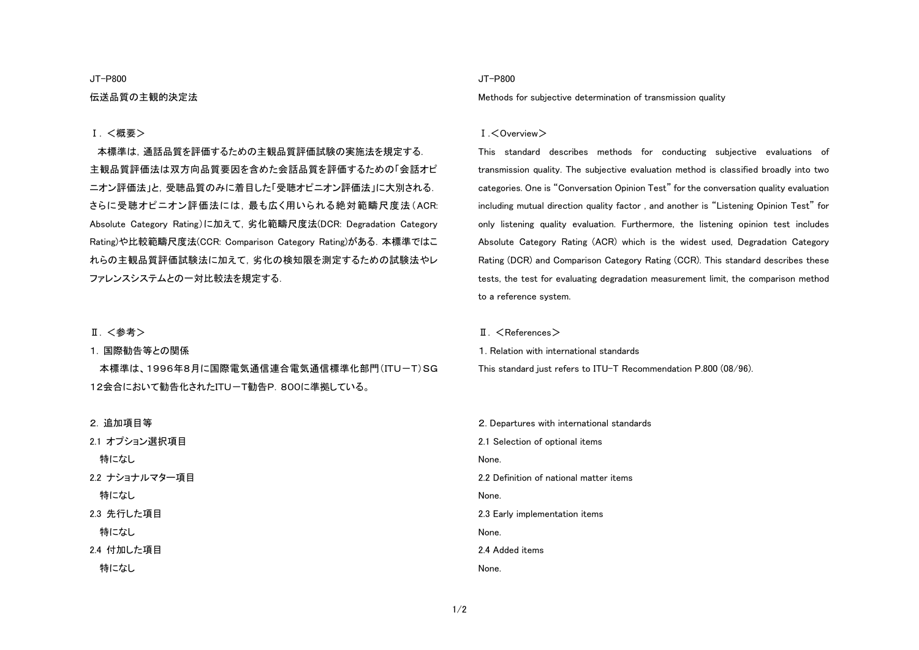### JT-P800

## 伝送品質の主観的決定法

## Ⅰ. <概要>

本標準は,通話品質を評価するための主観品質評価試験の実施法を規定する. 主観品質評価法は双方向品質要因を含めた会話品質を評価するための「会話オピニオン評価法」と,受聴品質のみに着目した「受聴オピニオン評価法」に大別される. さらに受聴オピニオン評価法には,最も広く用いられる絶対範疇尺度法(ACR: Absolute Category Rating)に加えて,劣化範疇尺度法(DCR: Degradation Category Rating)や比較範疇尺度法(CCR: Comparison Category Rating)がある.本標準ではこ れらの主観品質評価試験法に加えて,劣化の検知限を測定するための試験法やレ ファレンスシステムとの一対比較法を規定する.

## Ⅱ. <参考>

1. 国際勧告等との関係

本標準は、1996年8月に国際電気通信連合電気通信標準化部門(ITU-T)SG 12会合において勧告化されたITU-T勧告P.800に準拠している。

## 2. 追加項目等

特になし 2.2 ナショナルマター項目 特になし 2.3 先行した項目 特になし 2.4 付加した項目 特になし

21 オプション選択項目

### JT-P800

Methods for subjective determination of transmission quality

#### Ⅰ.<Overview>

This standard describes methods for conducting subjective evaluations of transmission quality. The subjective evaluation method is classified broadly into two categories. One is "Conversation Opinion Test" for the conversation quality evaluation including mutual direction quality factor , and another is "Listening Opinion Test" for only listening quality evaluation. Furthermore, the listening opinion test includes Absolute Category Rating (ACR) which is the widest used, Degradation Category Rating (DCR) and Comparison Category Rating (CCR). This standard describes these tests, the test for evaluating degradation measurement limit, the comparison method to a reference system.

 $II. <$ References $>$ 

1. Relation with international standards

This standard just refers to ITU-T Recommendation P.800 (08/96).

2. Departures with international standards 2.1 Selection of optional items None. 2.2 Definition of national matter items None. 2.3 Early implementation items None. 2.4 Added items None.